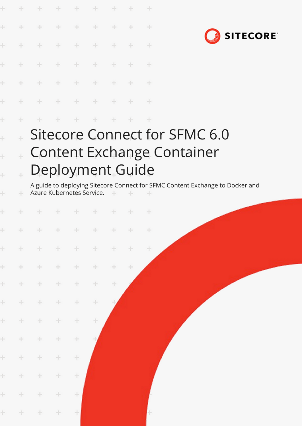| $\vdash$      | ÷ |  |                        |  | Sitecore Connect for SI |  |
|---------------|---|--|------------------------|--|-------------------------|--|
| $\leftarrow$  |   |  | * * * * * * * *        |  |                         |  |
| $\frac{1}{2}$ |   |  | + + + + + + + +        |  |                         |  |
| $\pm$         |   |  | + + + + + + + +        |  |                         |  |
| $+$           |   |  | + + + + + + +          |  |                         |  |
| $\rightarrow$ |   |  | * * * * * * * *        |  |                         |  |
| $\rightarrow$ |   |  | <b>+ + + + + + + +</b> |  |                         |  |
| $\rightarrow$ |   |  | + + + + + + + +        |  |                         |  |

 $\ddot{}$ 

÷

÷

÷



## Sitecore Connect for SFMC 6.0 Content Exchange Container  $\ddot{\pm}$ Deployment Guide  $\downarrow$

A guide to deploying Sitecore Connect for SFMC Content Exchange to Docker and Azure Kubernetes Service. $\frac{1}{2}$  $\sim$ 

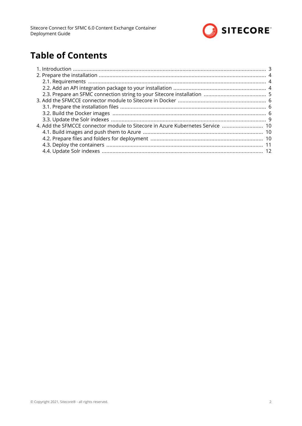

# **Table of Contents**

| 4. Add the SFMCCE connector module to Sitecore in Azure Kubernetes Service |  |
|----------------------------------------------------------------------------|--|
|                                                                            |  |
|                                                                            |  |
|                                                                            |  |
|                                                                            |  |
|                                                                            |  |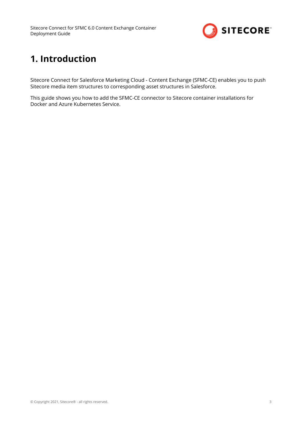

# <span id="page-2-0"></span>**1. Introduction**

Sitecore Connect for Salesforce Marketing Cloud - Content Exchange (SFMC-CE) enables you to push Sitecore media item structures to corresponding asset structures in Salesforce.

This guide shows you how to add the SFMC-CE connector to Sitecore container installations for Docker and Azure Kubernetes Service.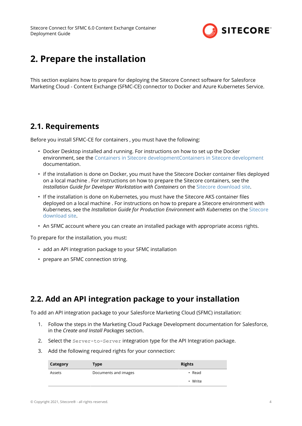

# <span id="page-3-0"></span>**2. Prepare the installation**

This section explains how to prepare for deploying the Sitecore Connect software for Salesforce Marketing Cloud - Content Exchange (SFMC-CE) connector to Docker and Azure Kubernetes Service.

## **2.1. Requirements**

Before you install SFMC-CE for containers , you must have the following:

- Docker Desktop installed and running. For instructions on how to set up the Docker environment, see the [Containers in Sitecore development](https://doc.sitecore.com/developers/101/developer-tools/en/set-up-the-environment.html)[Containers in Sitecore development](https://doc.sitecore.com/ja/developers/101/developer-tools/set-up-the-environment.html) documentation.
- if the installation is done on Docker, you must have the Sitecore Docker container files deployed on a local machine . For instructions on how to prepare the Sitecore containers, see the *Installation Guide for Developer Workstation with Containers* on the [Sitecore download site](https://dev.sitecore.net/Downloads/Sitecore_Experience_Platform/101/Sitecore_Experience_Platform_101.aspx).
- If the installation is done on Kubernetes, you must have the Sitecore AKS container files deployed on a local machine . For instructions on how to prepare a Sitecore environment with Kubernetes, see the *Installation Guide for Production Environment with Kubernetes* on the [Sitecore](https://dev.sitecore.net/Downloads/Sitecore_Experience_Platform/101/Sitecore_Experience_Platform_101.aspx) [download site](https://dev.sitecore.net/Downloads/Sitecore_Experience_Platform/101/Sitecore_Experience_Platform_101.aspx).
- An SFMC account where you can create an installed package with appropriate access rights.

To prepare for the installation, you must:

- add an API integration package to your SFMC installation
- prepare an SFMC connection string.

## **2.2. Add an API integration package to your installation**

To add an API integration package to your Salesforce Marketing Cloud (SFMC) installation:

- 1. Follow the steps in the Marketing Cloud Package Development documentation for Salesforce, in the *Create and Install Packages* section.
- 2. Select the Server-to-Server integration type for the API Integration package.
- 3. Add the following required rights for your connection:

| Category | Type                 | <b>Rights</b> |  |
|----------|----------------------|---------------|--|
| Assets   | Documents and images | $\cdot$ Read  |  |
|          |                      | • Write       |  |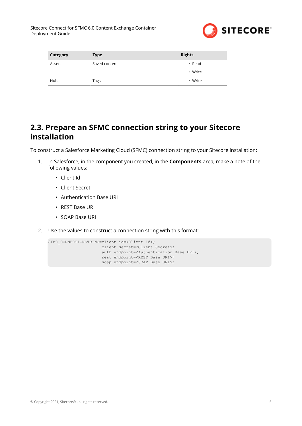

<span id="page-4-0"></span>

| Category | <b>Type</b>   | <b>Rights</b> |
|----------|---------------|---------------|
| Assets   | Saved content | $\cdot$ Read  |
|          |               | • Write       |
| Hub      | Tags          | • Write       |

## **2.3. Prepare an SFMC connection string to your Sitecore installation**

To construct a Salesforce Marketing Cloud (SFMC) connection string to your Sitecore installation:

- 1. In Salesforce, in the component you created, in the **Components** area, make a note of the following values:
	- Client Id
	- Client Secret
	- Authentication Base URI
	- REST Base URI
	- SOAP Base URI
- 2. Use the values to construct a connection string with this format:

```
SFMC_CONNECTIONSTRING=client id=<Client Id>;
                       client secret=<Client Secret>;
                      auth endpoint=<Authentication Base URI>;
                      rest endpoint=<REST Base URI>;
                       soap endpoint=<SOAP Base URI>;
```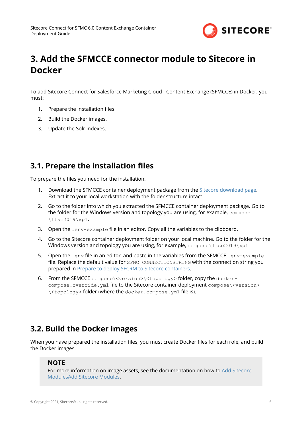

# <span id="page-5-0"></span>**3. Add the SFMCCE connector module to Sitecore in Docker**

To add Sitecore Connect for Salesforce Marketing Cloud - Content Exchange (SFMCCE) in Docker, you must:

- 1. Prepare the installation files.
- 2. Build the Docker images.
- 3. Update the Solr indexes.

## **3.1. Prepare the installation files**

To prepare the files you need for the installation:

- 1. Download the SFMCCE container deployment package from the [Sitecore download page](https://dev.sitecore.net/Downloads/). Extract it to your local workstation with the folder structure intact.
- 2. Go to the folder into which you extracted the SFMCCE container deployment package. Go to the folder for the Windows version and topology you are using, for example, compose \ltsc2019\xp1.
- 3. Open the .env-example file in an editor. Copy all the variables to the clipboard.
- 4. Go to the Sitecore container deployment folder on your local machine. Go to the folder for the Windows version and topology you are using, for example,  $\text{compare} \ltimes 2019\xpt \ltimes 1$ .
- 5. Open the .  $env$  file in an editor, and paste in the variables from the SFMCCE .  $env$ -example file. Replace the default value for SFMC CONNECTIONSTRING with the connection string you prepared in Prepare to deploy SFCRM to Sitecore containers.
- 6. From the SFMCCE compose\<version>\<topology> folder, copy the dockercompose.override.yml file to the Sitecore container deployment compose\<version> \<topology> folder (where the docker.compose.yml file is).

## **3.2. Build the Docker images**

When you have prepared the installation files, you must create Docker files for each role, and build the Docker images.

#### **NOTE**

For more information on image assets, see the documentation on how to [Add Sitecore](https://doc.sitecore.com/developers/101/developer-tools/en/add-sitecore-modules.html) [Modules](https://doc.sitecore.com/developers/101/developer-tools/en/add-sitecore-modules.html)[Add Sitecore Modules.](https://doc.sitecore.com/ja/developers/101/developer-tools/add-sitecore-modules.html)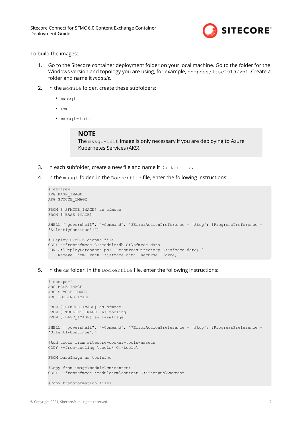

To build the images:

- 1. Go to the Sitecore container deployment folder on your local machine. Go to the folder for the Windows version and topology you are using, for example, compose/ltsc2019/xp1. Create a folder and name it *module*.
- 2. In the module folder, create these subfolders:
	- mssql
	- cm
	- mssql-init

#### **NOTE**

The mssql-init image is only necessary if you are deploying to Azure Kubernetes Services (AKS).

- 3. In each subfolder, create a new file and name it Dockerfile.
- 4. In the mssql folder, in the Dockerfile file, enter the following instructions:

```
# escape=`
ARG BASE_IMAGE
ARG SFMCCE IMAGE
FROM ${SFMCCE IMAGE} as sfmcce
FROM ${BASE_IMAGE}
SHELL ["powershell", "-Command", "$ErrorActionPreference = 'Stop'; $ProgressPreference = 
'SilentlyContinue';"]
# Deploy SFMCCE dacpac file
COPY --from=sfmcce C:\module\db C:\sfmcce data
RUN C:\DeployDatabases.ps1 -ResourcesDirectory C:\sfmcce data; `
     Remove-Item -Path C:\sfmcce_data -Recurse -Force;
```
5. In the cm folder, in the Dockerfile file, enter the following instructions:

```
# escape=`
ARG BASE_IMAGE
ARG SFMCCE IMAGE
ARG TOOLING_IMAGE
FROM ${SFMCCE IMAGE} as sfmcce
FROM ${TOOLING IMAGE} as tooling
FROM ${BASE_IMAGE} as baseImage
SHELL ["powershell", "-Command", "$ErrorActionPreference = 'Stop'; $ProgressPreference = 
'SilentlyContinue';"]
#Add tools from sitecore-docker-tools-assets
COPY --from=tooling \tools\ C:\tools\
FROM baseImage as toolsfmc
#Copy from image\module\cm\content
COPY --from=sfmcce \module\cm\content C:\inetpub\wwwroot
#Copy transformation files
```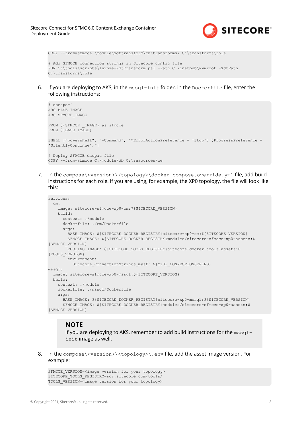

COPY --from=sfmcce \module\xdttransform\cm\transforms\ C:\transforms\role

```
# Add SFMCCE connection strings in Sitecore config file
RUN C:\tools\scripts\Invoke-XdtTransform.ps1 -Path C:\inetpub\wwwroot -XdtPath 
C:\transforms\role
```
6. If you are deploying to AKS, in the  $msq1-int$  folder, in the  $Dockerfile$  file, enter the following instructions:

```
# escape=`
ARG BASE_IMAGE
ARG SFMCCE_IMAGE
FROM ${SFMCCE IMAGE} as sfmcce
FROM ${BASE_IMAGE}
SHELL ["powershell", "-Command", "$ErrorActionPreference = 'Stop'; $ProgressPreference = 
'SilentlyContinue';"]
# Deploy SFMCCE dacpac file
COPY --from=sfmcce C:\module\db C:\resources\ce
```
7. In the compose\<version>\<topology>\docker-compose.override.yml file, add build instructions for each role. If you are using, for example, the XP0 topology, the file will look like this:

```
services:
  cm:
    image: sitecore-sfmcce-xp0-cm:${SITECORE_VERSION}
    build:
      context: ./module
      dockerfile: ./cm/Dockerfile
     args:
       BASE IMAGE: ${SITECORE DOCKER REGISTRY}sitecore-xp0-cm:${SITECORE VERSION}
       SFMCCE IMAGE: ${SITECORE DOCKER REGISTRY}modules/sitecore-sfmcce-xp0-assets:$
{SFMCCE_VERSION}
       TOOLING IMAGE: ${SITECORE TOOLS REGISTRY}sitecore-docker-tools-assets:$
{TOOLS_VERSION}
        environment:
         Sitecore ConnectionStrings mysf: ${MYSF CONNECTIONSTRING}
mssql:
  image: sitecore-sfmcce-xp0-mssql:${SITECORE_VERSION}
  build:
    context: ./module
    dockerfile: ./mssql/Dockerfile
   args:
     BASE IMAGE: ${SITECORE DOCKER REGISTRY}sitecore-xp0-mssql:${SITECORE VERSION}
     SFMCCE IMAGE: ${SITECORE DOCKER REGISTRY}modules/sitecore-sfmcce-xp0-assets:$
{SFMCCE_VERSION}
```
#### **NOTE**

If you are deploying to AKS, remember to add build instructions for the  $mssa1$ init image as well.

8. In the compose\<version>\<topology>\.env file, add the asset image version. For example:

```
SFMCCE VERSION=<image version for your topology>
SITECORE_TOOLS_REGISTRY=scr.sitecore.com/tools/
TOOLS_VERSION=<image version for your topology>
```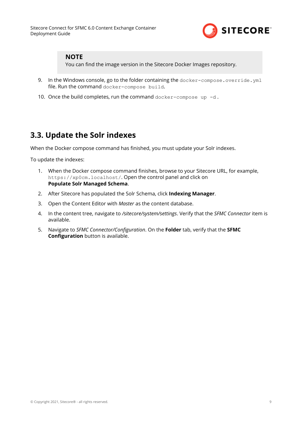

#### <span id="page-8-0"></span>**NOTE**

You can find the image version in the Sitecore Docker Images repository.

- 9. In the Windows console, go to the folder containing the docker-compose.override.yml file. Run the command docker-compose build.
- 10. Once the build completes, run the command docker-compose up -d.

## **3.3. Update the Solr indexes**

When the Docker compose command has finished, you must update your Solr indexes.

To update the indexes:

- 1. When the Docker compose command finishes, browse to your Sitecore URL, for example, https://xp0cm.localhost/. Open the control panel and click on **Populate Solr Managed Schema**.
- 2. After Sitecore has populated the Solr Schema, click **Indexing Manager**.
- 3. Open the Content Editor with *Master* as the content database.
- 4. In the content tree, navigate to */sitecore/system/settings*. Verify that the *SFMC Connector* item is available.
- 5. Navigate to *SFMC Connector/Configuration*. On the Folder tab, verify that the **SFMC Configuration** button is available.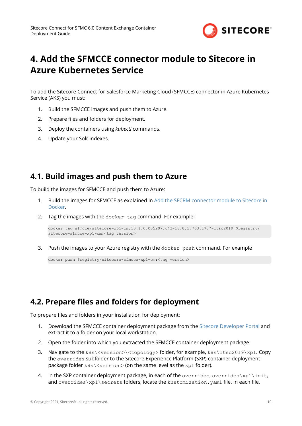

# <span id="page-9-0"></span>**4. Add the SFMCCE connector module to Sitecore in Azure Kubernetes Service**

To add the Sitecore Connect for Salesforce Marketing Cloud (SFMCCE) connector in Azure Kubernetes Service (AKS) you must:

- 1. Build the SFMCCE images and push them to Azure.
- 2. Prepare files and folders for deployment.
- 3. Deploy the containers using *kubectl* commands.
- 4. Update your Solr indexes.

## **4.1. Build images and push them to Azure**

To build the images for SFMCCE and push them to Azure:

- 1. Build the images for SFMCCE as explained in Add the SFCRM connector module to Sitecore in Docker.
- 2. Tag the images with the docker tag command. For example:

```
docker tag sfmcce/sitecore-xp1-cm:10.1.0.005207.643-10.0.17763.1757-ltsc2019 $registry/
sitecore-sfmcce-xp1-cm:<tag version>
```
3. Push the images to your Azure registry with the docker push command. For example

docker push \$registry/sitecore-sfmcce-xp1-cm:<tag version>

## **4.2. Prepare files and folders for deployment**

To prepare files and folders in your installation for deployment:

- 1. Download the SFMCCE container deployment package from the [Sitecore Developer Portal](https://dev.sitecore.net/) and extract it to a folder on your local workstation.
- 2. Open the folder into which you extracted the SFMCCE container deployment package.
- 3. Navigate to the  $k8s \times resion \times topology > folder$ , for example,  $k8s \lt 162019 \times p1$ . Copy the overrides subfolder to the Sitecore Experience Platform (SXP) container deployment package folder k8s\<version> (on the same level as the xp1 folder).
- 4. In the SXP container deployment package, in each of the overrides, overrides\xp1\init, and overrides\xp1\secrets folders, locate the kustomization. yaml file. In each file,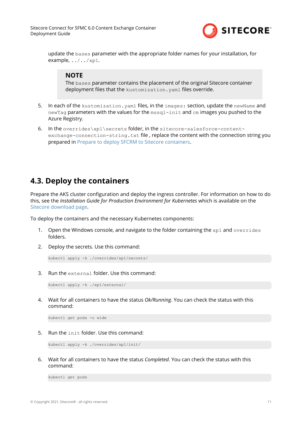

<span id="page-10-0"></span>update the bases parameter with the appropriate folder names for your installation, for example,  $\ldots / \ldots / \mathrm{xpl}$ .

#### **NOTE**

The bases parameter contains the placement of the original Sitecore container deployment files that the kustomization. yaml files override.

- 5. In each of the kustomization. yaml files, in the images: section, update the newName and newTag parameters with the values for the mssql-init and cm images you pushed to the Azure Registry.
- 6. In the overrides\xp1\secrets folder, in the sitecore-salesforce-contentexchange-connection-string.txt file, replace the content with the connection string you prepared in Prepare to deploy SFCRM to Sitecore containers.

## **4.3. Deploy the containers**

Prepare the AKS cluster configuration and deploy the ingress controller. For information on how to do this, see the *Installation Guide for Production Environment for Kubernetes* which is available on the [Sitecore download page.](https://dev.sitecore.net/Downloads/)

To deploy the containers and the necessary Kubernetes components:

- 1. Open the Windows console, and navigate to the folder containing the  $xp1$  and overrides folders.
- 2. Deploy the secrets. Use this command:

kubectl apply -k ./overrides/xp1/secrets/

3. Run the external folder. Use this command:

kubectl apply -k ./xp1/external/

4. Wait for all containers to have the status *Ok/Running*. You can check the status with this command:

kubectl get pods -o wide

5. Run the init folder. Use this command:

```
kubectl apply -k ./overrides/xp1/init/
```
6. Wait for all containers to have the status *Completed*. You can check the status with this command:

kubectl get pods